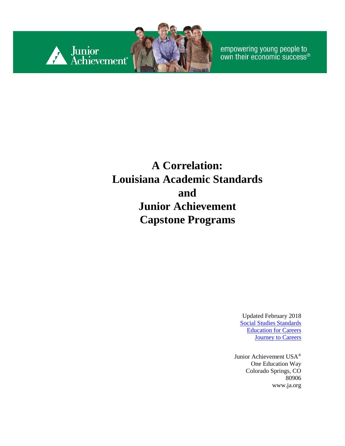

empowering young people to<br>own their economic success®

## **A Correlation: Louisiana Academic Standards and Junior Achievement Capstone Programs**

Updated February 2018 [Social Studies](https://www.louisianabelieves.com/docs/default-source/academic-standards/standards---k-12-social-studies.pdf?sfvrsn=18) Standards [Education for Careers](https://www.louisianabelieves.com/docs/default-source/jumpstart/education-for-careers-i-curriculum-framework.pdf?sfvrsn=8) **[Journey to Careers](https://www.louisianabelieves.com/docs/default-source/jumpstart/journey-to-careers-curriculum-framework.pdf?sfvrsn=5)** 

Junior Achievement USA® One Education Way Colorado Springs, CO 80906 [www.ja.org](http://www.ja.org/)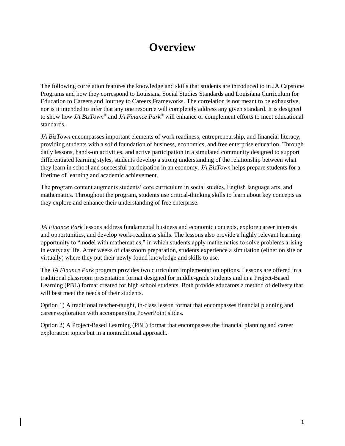#### **Overview**

The following correlation features the knowledge and skills that students are introduced to in JA Capstone Programs and how they correspond to Louisiana Social Studies Standards and Louisiana Curriculum for Education to Careers and Journey to Careers Frameworks. The correlation is not meant to be exhaustive, nor is it intended to infer that any one resource will completely address any given standard. It is designed to show how *JA BizTown®* and *JA Finance Park®* will enhance or complement efforts to meet educational standards.

*JA BizTown* encompasses important elements of work readiness, entrepreneurship, and financial literacy, providing students with a solid foundation of business, economics, and free enterprise education. Through daily lessons, hands-on activities, and active participation in a simulated community designed to support differentiated learning styles, students develop a strong understanding of the relationship between what they learn in school and successful participation in an economy. *JA BizTown* helps prepare students for a lifetime of learning and academic achievement.

The program content augments students' core curriculum in social studies, English language arts, and mathematics. Throughout the program, students use critical-thinking skills to learn about key concepts as they explore and enhance their understanding of free enterprise.

*JA Finance Park* lessons address fundamental business and economic concepts, explore career interests and opportunities, and develop work-readiness skills. The lessons also provide a highly relevant learning opportunity to "model with mathematics," in which students apply mathematics to solve problems arising in everyday life. After weeks of classroom preparation, students experience a simulation (either on site or virtually) where they put their newly found knowledge and skills to use.

The *JA Finance Park* program provides two curriculum implementation options. Lessons are offered in a traditional classroom presentation format designed for middle-grade students and in a Project-Based Learning (PBL) format created for high school students. Both provide educators a method of delivery that will best meet the needs of their students.

Option 1) A traditional teacher-taught, in-class lesson format that encompasses financial planning and career exploration with accompanying PowerPoint slides.

Option 2) A Project-Based Learning (PBL) format that encompasses the financial planning and career exploration topics but in a nontraditional approach.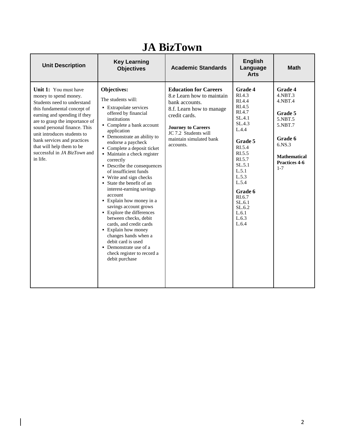| <b>Unit Description</b>                                                                                                                                                                                                                                                                                                                               | <b>Key Learning</b><br><b>Objectives</b>                                                                                                                                                                                                                                                                                                                                                                                                                                                                                                                                                                                                                                                                                                        | <b>Academic Standards</b>                                                                                                                                                                                             | <b>English</b><br>Language<br><b>Arts</b>                                                                                                                                                                                             | <b>Math</b>                                                                                                                                        |
|-------------------------------------------------------------------------------------------------------------------------------------------------------------------------------------------------------------------------------------------------------------------------------------------------------------------------------------------------------|-------------------------------------------------------------------------------------------------------------------------------------------------------------------------------------------------------------------------------------------------------------------------------------------------------------------------------------------------------------------------------------------------------------------------------------------------------------------------------------------------------------------------------------------------------------------------------------------------------------------------------------------------------------------------------------------------------------------------------------------------|-----------------------------------------------------------------------------------------------------------------------------------------------------------------------------------------------------------------------|---------------------------------------------------------------------------------------------------------------------------------------------------------------------------------------------------------------------------------------|----------------------------------------------------------------------------------------------------------------------------------------------------|
| Unit 1: You must have<br>money to spend money.<br>Students need to understand<br>this fundamental concept of<br>earning and spending if they<br>are to grasp the importance of<br>sound personal finance. This<br>unit introduces students to<br>bank services and practices<br>that will help them to be<br>successful in JA BizTown and<br>in life. | <b>Objectives:</b><br>The students will:<br>• Extrapolate services<br>offered by financial<br>institutions<br>• Complete a bank account<br>application<br>• Demonstrate an ability to<br>endorse a paycheck<br>• Complete a deposit ticket<br>• Maintain a check register<br>correctly<br>• Describe the consequences<br>of insufficient funds<br>• Write and sign checks<br>$\blacksquare$ State the benefit of an<br>interest-earning savings<br>account<br>• Explain how money in a<br>savings account grows<br>• Explore the differences<br>between checks, debit<br>cards, and credit cards<br>• Explain how money<br>changes hands when a<br>debit card is used<br>• Demonstrate use of a<br>check register to record a<br>debit purchase | <b>Education for Careers</b><br>8.e Learn how to maintain<br>bank accounts.<br>8.f. Learn how to manage<br>credit cards.<br><b>Journey to Careers</b><br>JC 7.2 Students will<br>maintain simulated bank<br>accounts. | <b>Grade 4</b><br>RI.4.3<br>RI.4.4<br>RI.4.5<br>RI.4.7<br>SL.4.1<br>SL.4.3<br>L.4.4<br>Grade 5<br>RI.5.4<br>RI.5.5<br>RI.5.7<br>SL.5.1<br>L.5.1<br>L.5.3<br>L.5.4<br>Grade 6<br>RI.6.7<br>SL.6.1<br>SL.6.2<br>L.6.1<br>L.6.3<br>L.6.4 | Grade 4<br>$4.$ NBT $.3$<br>$4.$ NBT $.4$<br>Grade 5<br>5.NBT.5<br>5.NBT.7<br>Grade 6<br>6.NS.3<br><b>Mathematical</b><br>Practices 4-6<br>$1 - 7$ |

# **JA BizTown**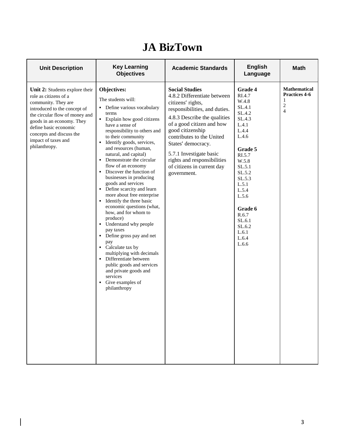## **JA BizTown**

| <b>Unit Description</b>                                                                                                                                                                                                                                                    | <b>Key Learning</b><br><b>Objectives</b>                                                                                                                                                                                                                                                                                                                                                                                                                                                                                                                                                                                                                                                                                                                                                                                             | <b>Academic Standards</b>                                                                                                                                                                                                                                                                                                                             | <b>English</b><br>Language                                                                                                                                                                                                                    | <b>Math</b>                                                                   |
|----------------------------------------------------------------------------------------------------------------------------------------------------------------------------------------------------------------------------------------------------------------------------|--------------------------------------------------------------------------------------------------------------------------------------------------------------------------------------------------------------------------------------------------------------------------------------------------------------------------------------------------------------------------------------------------------------------------------------------------------------------------------------------------------------------------------------------------------------------------------------------------------------------------------------------------------------------------------------------------------------------------------------------------------------------------------------------------------------------------------------|-------------------------------------------------------------------------------------------------------------------------------------------------------------------------------------------------------------------------------------------------------------------------------------------------------------------------------------------------------|-----------------------------------------------------------------------------------------------------------------------------------------------------------------------------------------------------------------------------------------------|-------------------------------------------------------------------------------|
| Unit 2: Students explore their<br>role as citizens of a<br>community. They are<br>introduced to the concept of<br>the circular flow of money and<br>goods in an economy. They<br>define basic economic<br>concepts and discuss the<br>impact of taxes and<br>philanthropy. | Objectives:<br>The students will:<br>• Define various vocabulary<br>terms<br>• Explain how good citizens<br>have a sense of<br>responsibility to others and<br>to their community<br>• Identify goods, services,<br>and resources (human,<br>natural, and capital)<br>• Demonstrate the circular<br>flow of an economy<br>• Discover the function of<br>businesses in producing<br>goods and services<br>• Define scarcity and learn<br>more about free enterprise<br>• Identify the three basic<br>economic questions (what,<br>how, and for whom to<br>produce)<br>• Understand why people<br>pay taxes<br>• Define gross pay and net<br>pay<br>• Calculate tax by<br>multiplying with decimals<br>• Differentiate between<br>public goods and services<br>and private goods and<br>services<br>• Give examples of<br>philanthropy | <b>Social Studies</b><br>4.8.2 Differentiate between<br>citizens' rights,<br>responsibilities, and duties.<br>4.8.3 Describe the qualities<br>of a good citizen and how<br>good citizenship<br>contributes to the United<br>States' democracy.<br>5.7.1 Investigate basic<br>rights and responsibilities<br>of citizens in current day<br>government. | Grade 4<br>RI.4.7<br>W.4.8<br>SL.4.1<br>SL.4.2<br>SL.4.3<br>L.4.1<br>L.4.4<br>L.4.6<br>Grade 5<br>RI.5.7<br>W.5.8<br>SL.5.1<br>SL.5.2<br>SL.5.3<br>L.5.1<br>L.5.4<br>L.5.6<br>Grade 6<br>R.6.7<br>SL.6.1<br>SL.6.2<br>L.6.1<br>L.6.4<br>L.6.6 | <b>Mathematical</b><br>Practices 4-6<br>1<br>$\overline{c}$<br>$\overline{4}$ |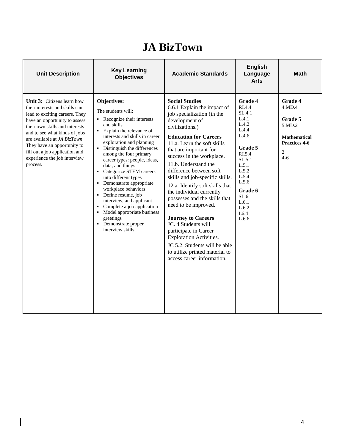#### **JA BizTown**

| <b>Unit Description</b>                                                                                                                                                                                                                                                                                                                                | <b>Key Learning</b><br><b>Objectives</b>                                                                                                                                                                                                                                                                                                                                                                                                                                                                                                                                      | <b>Academic Standards</b>                                                                                                                                                                                                                                                                                                                                                                                                                                                                                                                                                                                                                                                   | <b>English</b><br>Language<br><b>Arts</b>                                                                                                                                                         | <b>Math</b>                                                                                                        |
|--------------------------------------------------------------------------------------------------------------------------------------------------------------------------------------------------------------------------------------------------------------------------------------------------------------------------------------------------------|-------------------------------------------------------------------------------------------------------------------------------------------------------------------------------------------------------------------------------------------------------------------------------------------------------------------------------------------------------------------------------------------------------------------------------------------------------------------------------------------------------------------------------------------------------------------------------|-----------------------------------------------------------------------------------------------------------------------------------------------------------------------------------------------------------------------------------------------------------------------------------------------------------------------------------------------------------------------------------------------------------------------------------------------------------------------------------------------------------------------------------------------------------------------------------------------------------------------------------------------------------------------------|---------------------------------------------------------------------------------------------------------------------------------------------------------------------------------------------------|--------------------------------------------------------------------------------------------------------------------|
| <b>Unit 3:</b> Citizens learn how<br>their interests and skills can<br>lead to exciting careers. They<br>have an opportunity to assess<br>their own skills and interests<br>and to see what kinds of jobs<br>are available at JA BizTown.<br>They have an opportunity to<br>fill out a job application and<br>experience the job interview<br>process. | Objectives:<br>The students will:<br>• Recognize their interests<br>and skills<br>• Explain the relevance of<br>interests and skills in career<br>exploration and planning<br>• Distinguish the differences<br>among the four primary<br>career types: people, ideas,<br>data, and things<br>• Categorize STEM careers<br>into different types<br>• Demonstrate appropriate<br>workplace behaviors<br>• Define resume, job<br>interview, and applicant<br>Complete a job application<br>• Model appropriate business<br>greetings<br>• Demonstrate proper<br>interview skills | <b>Social Studies</b><br>6.6.1 Explain the impact of<br>job specialization (in the<br>development of<br>civilizations.)<br><b>Education for Careers</b><br>11.a. Learn the soft skills<br>that are important for<br>success in the workplace.<br>11.b. Understand the<br>difference between soft<br>skills and job-specific skills.<br>12.a. Identify soft skills that<br>the individual currently<br>possesses and the skills that<br>need to be improved.<br><b>Journey to Careers</b><br>JC. 4 Students will<br>participate in Career<br><b>Exploration Activities.</b><br>JC 5.2. Students will be able<br>to utilize printed material to<br>access career information. | <b>Grade 4</b><br>RI.4.4<br>SL.4.1<br>L.4.1<br>L.4.2<br>L.4.4<br>L.4.6<br>Grade 5<br>RI.5.4<br>SL.5.1<br>L.5.1<br>L.5.2<br>L.5.4<br>L.5.6<br>Grade 6<br>SL.6.1<br>L.6.1<br>L.6.2<br>L6.4<br>L.6.6 | <b>Grade 4</b><br>4.MD.4<br>Grade 5<br>5.MD.2<br><b>Mathematical</b><br>Practices 4-6<br>$\overline{2}$<br>$4 - 6$ |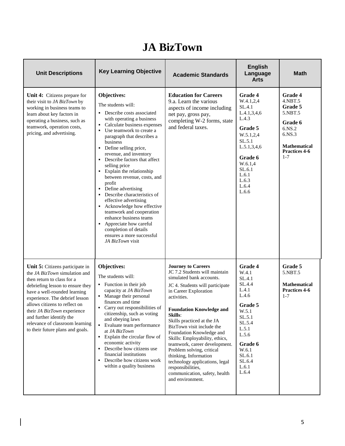#### **JA BizTown**

| <b>Unit Descriptions</b>                                                                                                                                                                                                                                                                                                                                                | <b>Key Learning Objective</b>                                                                                                                                                                                                                                                                                                                                                                                                                                                                                                                                                                                                                                                                     | <b>Academic Standards</b>                                                                                                                                                                                                                                                                                                                                                                                                                                                                                                                   | <b>English</b><br>Language<br><b>Arts</b>                                                                                                                                         | <b>Math</b>                                                                                                                             |
|-------------------------------------------------------------------------------------------------------------------------------------------------------------------------------------------------------------------------------------------------------------------------------------------------------------------------------------------------------------------------|---------------------------------------------------------------------------------------------------------------------------------------------------------------------------------------------------------------------------------------------------------------------------------------------------------------------------------------------------------------------------------------------------------------------------------------------------------------------------------------------------------------------------------------------------------------------------------------------------------------------------------------------------------------------------------------------------|---------------------------------------------------------------------------------------------------------------------------------------------------------------------------------------------------------------------------------------------------------------------------------------------------------------------------------------------------------------------------------------------------------------------------------------------------------------------------------------------------------------------------------------------|-----------------------------------------------------------------------------------------------------------------------------------------------------------------------------------|-----------------------------------------------------------------------------------------------------------------------------------------|
| Unit 4: Citizens prepare for<br>their visit to JA BizTown by<br>working in business teams to<br>learn about key factors in<br>operating a business, such as<br>teamwork, operation costs,<br>pricing, and advertising.                                                                                                                                                  | Objectives:<br>The students will:<br>• Describe costs associated<br>with operating a business<br>Calculate business expenses<br>Use teamwork to create a<br>$\blacksquare$<br>paragraph that describes a<br>business<br>• Define selling price,<br>revenue, and inventory<br>Describe factors that affect<br>selling price<br>• Explain the relationship<br>between revenue, costs, and<br>profit<br>Define advertising<br>$\blacksquare$<br>• Describe characteristics of<br>effective advertising<br>Acknowledge how effective<br>teamwork and cooperation<br>enhance business teams<br>Appreciate how careful<br>completion of details<br>ensures a more successful<br><i>JA BizTown</i> visit | <b>Education for Careers</b><br>9.a. Learn the various<br>aspects of income including<br>net pay, gross pay,<br>completing W-2 forms, state<br>and federal taxes.                                                                                                                                                                                                                                                                                                                                                                           | Grade 4<br>W.4.1,2,4<br>SL.4.1<br>L.4.1, 3, 4, 6<br>L.4.3<br>Grade 5<br>W.5.1,2,4<br>SL.5.1<br>L.5.1, 3, 4, 6<br>Grade 6<br>W.6.1,4<br>SL.6.1<br>L.6.1<br>L.6.3<br>L.6.4<br>L.6.6 | Grade 4<br>$4.$ NBT $.5$<br>Grade 5<br>5.NBT.5<br>Grade 6<br>6.NS.2<br>6.NS.3<br><b>Mathematical</b><br><b>Practices 4-6</b><br>$1 - 7$ |
| Unit 5: Citizens participate in<br>the JA BizTown simulation and<br>then return to class for a<br>debriefing lesson to ensure they<br>have a well-rounded learning<br>experience. The debrief lesson<br>allows citizens to reflect on<br>their JA BizTown experience<br>and further identify the<br>relevance of classroom learning<br>to their future plans and goals. | Objectives:<br>The students will:<br>• Function in their job<br>capacity at JA BizTown<br>• Manage their personal<br>finances and time<br>• Carry out responsibilities of<br>citizenship, such as voting<br>and obeying laws<br>• Evaluate team performance<br>at JA BizTown<br>• Explain the circular flow of<br>economic activity<br>• Describe how citizens use<br>financial institutions<br>• Describe how citizens work<br>within a quality business                                                                                                                                                                                                                                         | <b>Journey to Careers</b><br>JC 7.2 Students will maintain<br>simulated bank accounts.<br>JC 4. Students will participate<br>in Career Exploration<br>activities.<br><b>Foundation Knowledge and</b><br>Skills:<br>Skills practiced at the JA<br>BizTown visit include the<br>Foundation Knowledge and<br>Skills: Employability, ethics,<br>teamwork, career development.<br>Problem solving, critical<br>thinking, Information<br>technology applications, legal<br>responsibilities,<br>communication, safety, health<br>and environment. | Grade 4<br>W.4.1<br>SL.4.1<br>SL.4.4<br>L.4.1<br>L.4.6<br>Grade 5<br>W.5.1<br>SL.5.1<br>SL.5.4<br>L.5.1<br>L.5.6<br>Grade 6<br>W.6.1<br>SL.6.1<br>SL.6.4<br>L.6.1<br>L.6.4        | Grade 5<br>5.NBT.5<br><b>Mathematical</b><br><b>Practices 4-6</b><br>$1 - 7$                                                            |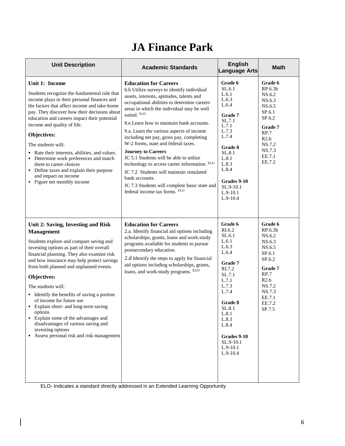## **JA Finance Park**

| <b>Unit Description</b>                                                                                                                                                                                                                                                                                                                                                                                                                                                                                                                                                                                   | <b>Academic Standards</b>                                                                                                                                                                                                                                                                                                                                                                                                                                                                                                                                                                                                                                                             | <b>English</b><br><b>Language Arts</b>                                                                                                                                                                                          | <b>Math</b>                                                                                                                                       |
|-----------------------------------------------------------------------------------------------------------------------------------------------------------------------------------------------------------------------------------------------------------------------------------------------------------------------------------------------------------------------------------------------------------------------------------------------------------------------------------------------------------------------------------------------------------------------------------------------------------|---------------------------------------------------------------------------------------------------------------------------------------------------------------------------------------------------------------------------------------------------------------------------------------------------------------------------------------------------------------------------------------------------------------------------------------------------------------------------------------------------------------------------------------------------------------------------------------------------------------------------------------------------------------------------------------|---------------------------------------------------------------------------------------------------------------------------------------------------------------------------------------------------------------------------------|---------------------------------------------------------------------------------------------------------------------------------------------------|
| Unit 1: Income<br>Students recognize the fundamental role that<br>income plays in their personal finances and<br>the factors that affect income and take-home<br>pay. They discover how their decisions about<br>education and careers impact their potential<br>income and quality of life.<br>Objectives:<br>The students will:<br>• Rate their interests, abilities, and values.<br>• Determine work preferences and match<br>them to career choices<br>• Define taxes and explain their purpose<br>and impact on income<br>• Figure net monthly income                                                | <b>Education for Careers</b><br>6.b Utilize surveys to identify individual<br>assets, interests, aptitudes, talents and<br>occupational abilities to determine careers<br>areas in which the individual may be well<br>suited. ELO<br>8.e. Learn how to maintain bank accounts.<br>9.a. Learn the various aspects of income<br>including net pay, gross pay, completing<br>W-2 forms, state and federal taxes.<br><b>Journey to Careers</b><br>JC 5.1 Students will be able to utilize<br>technology to access career information. ELO<br>JC 7.2 Students will maintain simulated<br>bank accounts.<br>JC 7.3 Students will complete basic state and<br>federal income tax forms. ELO | Grade 6<br>SL.6.1<br>L.6.1<br>L.6.3<br>L.6.4<br>Grade 7<br>SL.7.1<br>L.7.1<br>L.7.3<br>L.7.4<br>Grade 8<br>SL.8.1<br>L.8.1<br>L.8.3<br>L.8.4<br>Grades 9-10<br>SL.9-10.1<br>$L.9-10.1$<br>$L.9-10.4$                            | Grade 6<br>RP.6.3b<br>NS.6.2<br>NS.6.3<br>NS.6.5<br>SP.6.1<br>SP.6.2<br>Grade 7<br>RP.7<br>R2.b<br>NS.7.2<br>NS.7.3<br>EE.7.1<br>EE.7.2           |
| Unit 2: Saving, Investing and Risk<br><b>Management</b><br>Students explore and compare saving and<br>investing options as part of their overall<br>financial planning. They also examine risk<br>and how insurance may help protect savings<br>from both planned and unplanned events.<br>Objectives:<br>The students will:<br>• Identify the benefits of saving a portion<br>of income for future use<br>• Explain short- and long-term saving<br>options<br>Explain some of the advantages and<br>disadvantages of various saving and<br>investing options<br>Assess personal risk and risk management | <b>Education for Careers</b><br>2.a. Identify financial aid options including<br>scholarships, grants, loans and work-study<br>programs available for students to pursue<br>postsecondary education.<br>2.d Identify the steps to apply for financial<br>aid options including scholarships, grants,<br>loans, and work-study programs. ELO                                                                                                                                                                                                                                                                                                                                           | Grade 6<br>RI.6.2<br>SL.6.1<br>L.6.1<br>L.6.3<br>L.6.4<br>Grade 7<br>RI.7.2<br>SL.7.1<br>L.7.1<br>L.7.3<br>L.7.4<br><b>Grade 8</b><br>SL.8.1<br>L.8.1<br>L.8.3<br>L.8.4<br>Grades 9-10<br>SL.9-10.1<br>$L.9-10.1$<br>$L.9-10.4$ | Grade 6<br>RP.6.3b<br>NS.6.2<br>NS.6.3<br>NS.6.5<br>SP.6.1<br>SP.6.2<br>Grade 7<br>RP.7<br>R2.b<br>NS.7.2<br>NS.7.3<br>EE.7.1<br>EE.7.2<br>SP.7.5 |

ELO- Indicates a standard directly addressed in an Extended Learning Opportunity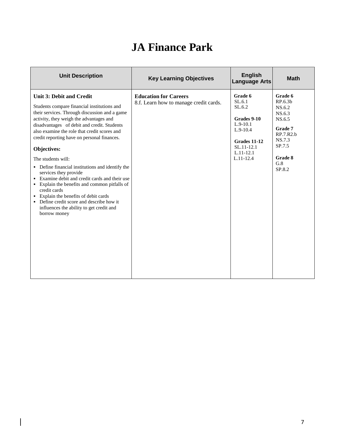## **JA Finance Park**

| <b>Unit Description</b>                                                                                                                                                                                                                                                                                                                                                                                                                                                                                                                                                                                                                                                                                         | <b>Key Learning Objectives</b>                                         | <b>English</b><br><b>Language Arts</b>                                                                                             | <b>Math</b>                                                                                                              |
|-----------------------------------------------------------------------------------------------------------------------------------------------------------------------------------------------------------------------------------------------------------------------------------------------------------------------------------------------------------------------------------------------------------------------------------------------------------------------------------------------------------------------------------------------------------------------------------------------------------------------------------------------------------------------------------------------------------------|------------------------------------------------------------------------|------------------------------------------------------------------------------------------------------------------------------------|--------------------------------------------------------------------------------------------------------------------------|
| <b>Unit 3: Debit and Credit</b><br>Students compare financial institutions and<br>their services. Through discussion and a game<br>activity, they weigh the advantages and<br>disadvantages of debit and credit. Students<br>also examine the role that credit scores and<br>credit reporting have on personal finances.<br>Objectives:<br>The students will:<br>• Define financial institutions and identify the<br>services they provide<br>• Examine debit and credit cards and their use<br>• Explain the benefits and common pitfalls of<br>credit cards<br>• Explain the benefits of debit cards<br>• Define credit score and describe how it<br>influences the ability to get credit and<br>borrow money | <b>Education for Careers</b><br>8.f. Learn how to manage credit cards. | Grade 6<br>SL.6.1<br>SL.6.2<br>Grades 9-10<br>$L.9-10.1$<br>$L.9-10.4$<br>Grades 11-12<br>SL.11-12.1<br>$L.11-12.1$<br>$L.11-12.4$ | Grade 6<br>RP.6.3b<br>NS.6.2<br>NS.6.3<br>NS.6.5<br>Grade 7<br>RP.7.R2.b<br>NS.7.3<br>SP.7.5<br>Grade 8<br>G.8<br>SP.8.2 |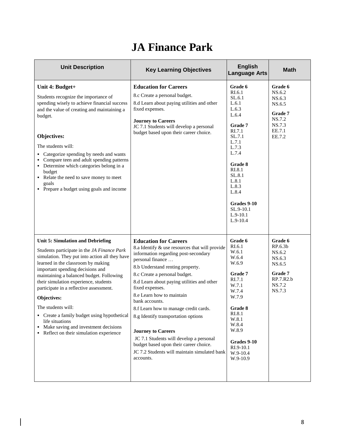## **JA Finance Park**

| <b>Unit Description</b>                                                                                                                                                                                                                                                                                                                                                                                                                                                                                                                        | <b>Key Learning Objectives</b>                                                                                                                                                                                                                                                                                                                                                                                                                                                                                                                                                                 | <b>English</b><br><b>Language Arts</b>                                                                                                                                                                                             | <b>Math</b>                                                                                              |
|------------------------------------------------------------------------------------------------------------------------------------------------------------------------------------------------------------------------------------------------------------------------------------------------------------------------------------------------------------------------------------------------------------------------------------------------------------------------------------------------------------------------------------------------|------------------------------------------------------------------------------------------------------------------------------------------------------------------------------------------------------------------------------------------------------------------------------------------------------------------------------------------------------------------------------------------------------------------------------------------------------------------------------------------------------------------------------------------------------------------------------------------------|------------------------------------------------------------------------------------------------------------------------------------------------------------------------------------------------------------------------------------|----------------------------------------------------------------------------------------------------------|
| Unit 4: Budget+<br>Students recognize the importance of<br>spending wisely to achieve financial success<br>and the value of creating and maintaining a<br>budget.<br>Objectives:<br>The students will:<br>• Categorize spending by needs and wants<br>Compare teen and adult spending patterns<br>• Determine which categories belong in a<br>budget<br>Relate the need to save money to meet<br>goals<br>• Prepare a budget using goals and income                                                                                            | <b>Education for Careers</b><br>8.c Create a personal budget.<br>8.d Learn about paying utilities and other<br>fixed expenses.<br><b>Journey to Careers</b><br>JC 7.1 Students will develop a personal<br>budget based upon their career choice.                                                                                                                                                                                                                                                                                                                                               | Grade 6<br>RI.6.1<br>SL.6.1<br>L.6.1<br>L.6.3<br>L.6.4<br>Grade 7<br>RI.7.1<br>SL.7.1<br>L.7.1<br>L.7.3<br>L.7.4<br>Grade 8<br>RI.8.1<br>SL.8.1<br>L.8.1<br>L.8.3<br>L.8.4<br>Grades 9-10<br>SL.9-10.1<br>$L.9-10.1$<br>$L.9-10.4$ | Grade 6<br>NS.6.2<br>NS.6.3<br>NS.6.5<br>Grade 7<br>NS.7.2<br>NS.7.3<br>EE.7.1<br>EE.7.2                 |
| <b>Unit 5: Simulation and Debriefing</b><br>Students participate in the JA Finance Park<br>simulation. They put into action all they have<br>learned in the classroom by making<br>important spending decisions and<br>maintaining a balanced budget. Following<br>their simulation experience, students<br>participate in a reflective assessment.<br>Objectives:<br>The students will:<br>• Create a family budget using hypothetical<br>life situations<br>• Make saving and investment decisions<br>Reflect on their simulation experience | <b>Education for Careers</b><br>8.a Identify & use resources that will provide<br>information regarding post-secondary<br>personal finance<br>8.b Understand renting property.<br>8.c Create a personal budget.<br>8.d Learn about paying utilities and other<br>fixed expenses.<br>8.e Learn how to maintain<br>bank accounts.<br>8.f Learn how to manage credit cards.<br>8.g Identify transportation options<br><b>Journey to Careers</b><br>JC 7.1 Students will develop a personal<br>budget based upon their career choice.<br>JC 7.2 Students will maintain simulated bank<br>accounts. | Grade 6<br>RI.6.1<br>W.6.1<br>W.6.4<br>W.6.9<br>Grade 7<br>RI.7.1<br>W.7.1<br>W.7.4<br>W.7.9<br>Grade 8<br>RI.8.1<br>W.8.1<br>W.8.4<br>W.8.9<br>Grades 9-10<br>RI.9-10.1<br>W.9-10.4<br>W.9-10.9                                   | Grade 6<br>RP.6.3 <sub>b</sub><br>NS.6.2<br>NS.6.3<br>NS.6.5<br>Grade 7<br>RP.7.R2.b<br>NS.7.2<br>NS.7.3 |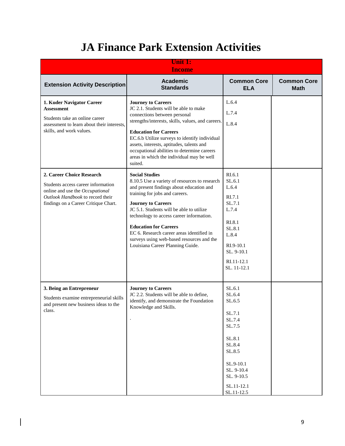# **JA Finance Park Extension Activities**

|                                                                                                                                                                                | <b>Unit 1:</b><br><b>Income</b>                                                                                                                                                                                                                                                                                                                                                                                                         |                                                                                                                                                                                     |                                   |
|--------------------------------------------------------------------------------------------------------------------------------------------------------------------------------|-----------------------------------------------------------------------------------------------------------------------------------------------------------------------------------------------------------------------------------------------------------------------------------------------------------------------------------------------------------------------------------------------------------------------------------------|-------------------------------------------------------------------------------------------------------------------------------------------------------------------------------------|-----------------------------------|
| <b>Extension Activity Description</b>                                                                                                                                          | <b>Academic</b><br><b>Standards</b>                                                                                                                                                                                                                                                                                                                                                                                                     | <b>Common Core</b><br><b>ELA</b>                                                                                                                                                    | <b>Common Core</b><br><b>Math</b> |
| 1. Kuder Navigator Career<br><b>Assessment</b><br>Students take an online career<br>assessment to learn about their interests,<br>skills, and work values.                     | <b>Journey to Careers</b><br>JC 2.1. Students will be able to make<br>connections between personal<br>strengths/interests, skills, values, and careers.<br><b>Education for Careers</b><br>EC.6.b Utilize surveys to identify individual<br>assets, interests, aptitudes, talents and<br>occupational abilities to determine careers<br>areas in which the individual may be well<br>suited.                                            | L.6.4<br>L.7.4<br>L.8.4                                                                                                                                                             |                                   |
| 2. Career Choice Research<br>Students access career information<br>online and use the Occupational<br>Outlook Handbook to record their<br>findings on a Career Critique Chart. | <b>Social Studies</b><br>8.10.5 Use a variety of resources to research<br>and present findings about education and<br>training for jobs and careers.<br><b>Journey to Careers</b><br>JC 5.1. Students will be able to utilize<br>technology to access career information.<br><b>Education for Careers</b><br>EC 6. Research career areas identified in<br>surveys using web-based resources and the<br>Louisiana Career Planning Guide. | RI.6.1<br>SL.6.1<br>L.6.4<br>RI.7.1<br>SL.7.1<br>L.7.4<br>RI.8.1<br>SL.8.1<br>L.8.4<br>RI.9-10.1<br>SL. 9-10.1<br>RI.11-12.1<br>SL. 11-12.1                                         |                                   |
| 3. Being an Entrepreneur<br>Students examine entrepreneurial skills<br>and present new business ideas to the<br>class.                                                         | <b>Journey to Careers</b><br>JC 2.2. Students will be able to define,<br>identify, and demonstrate the Foundation<br>Knowledge and Skills.                                                                                                                                                                                                                                                                                              | SL.6.1<br>SL.6.4<br>SL.6.5<br>SL.7.1<br>SL.7.4<br>SL.7.5<br>$\ensuremath{\mathrm{SL}}.8.1$<br>SL.8.4<br>SL.8.5<br>SL.9-10.1<br>SL. 9-10.4<br>SL. 9-10.5<br>SL.11-12.1<br>SL.11-12.5 |                                   |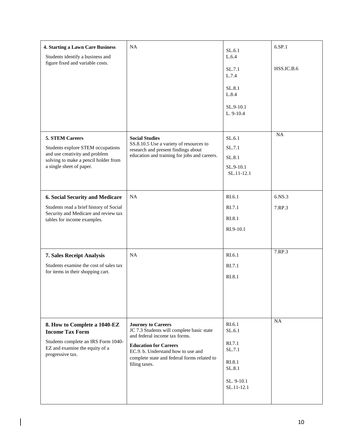| <b>4. Starting a Lawn Care Business</b><br>Students identify a business and<br>figure fixed and variable costs.                                            | NA                                                                                                                                                                                                                                            | SL.6.1<br>L.6.4<br>SL.7.1                                                            | 6.SP.1<br>HSS.IC.B.6 |
|------------------------------------------------------------------------------------------------------------------------------------------------------------|-----------------------------------------------------------------------------------------------------------------------------------------------------------------------------------------------------------------------------------------------|--------------------------------------------------------------------------------------|----------------------|
|                                                                                                                                                            |                                                                                                                                                                                                                                               | L.7.4<br>SL.8.1<br>L.8.4<br>SL.9-10.1                                                |                      |
|                                                                                                                                                            |                                                                                                                                                                                                                                               | L. 9-10.4                                                                            |                      |
| 5. STEM Careers<br>Students explore STEM occupations<br>and use creativity and problem<br>solving to make a pencil holder from<br>a single sheet of paper. | <b>Social Studies</b><br>SS.8.10.5 Use a variety of resources to<br>research and present findings about<br>education and training for jobs and careers.                                                                                       | SL.6.1<br>SL.7.1<br>SL.8.1<br>SL.9-10.1<br>SL.11-12.1                                | NA                   |
| <b>6. Social Security and Medicare</b><br>Students read a brief history of Social<br>Security and Medicare and review tax<br>tables for income examples.   | <b>NA</b>                                                                                                                                                                                                                                     | RI.6.1<br>RI.7.1<br>RI.8.1<br>RI.9-10.1                                              | 6.NS.3<br>7.RP.3     |
| 7. Sales Receipt Analysis<br>Students examine the cost of sales tax<br>for items in their shopping cart.                                                   | <b>NA</b>                                                                                                                                                                                                                                     | RI.6.1<br>R <sub>L</sub> 7.1<br>RI.8.1                                               | 7.RP.3               |
| 8. How to Complete a 1040-EZ<br><b>Income Tax Form</b><br>Students complete an IRS Form 1040-<br>EZ and examine the equity of a<br>progressive tax.        | <b>Journey to Careers</b><br>JC 7.3 Students will complete basic state<br>and federal income tax forms.<br><b>Education for Careers</b><br>EC.9. b. Understand how to use and<br>complete state and federal forms related to<br>filing taxes. | RI.6.1<br>SL.6.1<br>RI.7.1<br>SL.7.1<br>RI.8.1<br>SL.8.1<br>SL. 9-10.1<br>SL.11-12.1 | NA                   |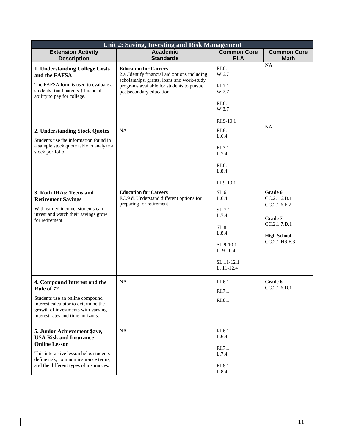|                                                                                                                                                                                                                   | Unit 2: Saving, Investing and Risk Management                                                                                                                                                        |                                                                                                                 |                                                                                                           |  |  |
|-------------------------------------------------------------------------------------------------------------------------------------------------------------------------------------------------------------------|------------------------------------------------------------------------------------------------------------------------------------------------------------------------------------------------------|-----------------------------------------------------------------------------------------------------------------|-----------------------------------------------------------------------------------------------------------|--|--|
| <b>Extension Activity</b><br><b>Description</b>                                                                                                                                                                   | <b>Academic</b><br><b>Standards</b>                                                                                                                                                                  | <b>Common Core</b><br><b>ELA</b>                                                                                | <b>Common Core</b><br><b>Math</b>                                                                         |  |  |
| 1. Understanding College Costs<br>and the FAFSA<br>The FAFSA form is used to evaluate a<br>students' (and parents') financial<br>ability to pay for college.                                                      | <b>Education for Careers</b><br>2.a .Identify financial aid options including<br>scholarships, grants, loans and work-study<br>programs available for students to pursue<br>postsecondary education. | RI.6.1<br>W.6.7<br>RI.7.1<br>W.7.7<br>RI.8.1<br>W.8.7<br>RI.9-10.1                                              | NA<br><b>NA</b>                                                                                           |  |  |
| 2. Understanding Stock Quotes<br>Students use the information found in<br>a sample stock quote table to analyze a<br>stock portfolio.                                                                             | NA                                                                                                                                                                                                   | RI.6.1<br>L.6.4<br>RI.7.1<br>L.7.4<br>RI.8.1<br>L.8.4<br>RI.9-10.1                                              |                                                                                                           |  |  |
| 3. Roth IRAs: Teens and<br><b>Retirement Savings</b><br>With earned income, students can<br>invest and watch their savings grow<br>for retirement.                                                                | <b>Education for Careers</b><br>EC.9 d. Understand different options for<br>preparing for retirement.                                                                                                | SL.6.1<br>L.6.4<br>SL.7.1<br>L.7.4<br>SL.8.1<br>L.8.4<br>$SL.9-10.1$<br>$L. 9-10.4$<br>SL.11-12.1<br>L. 11-12.4 | Grade 6<br>CC.2.1.6.D.1<br>CC.2.1.6.E.2<br>Grade 7<br>CC.2.1.7.D.1<br><b>High School</b><br>CC.2.1.HS.F.3 |  |  |
| 4. Compound Interest and the<br>Rule of 72<br>Students use an online compound<br>interest calculator to determine the<br>growth of investments with varying<br>interest rates and time horizons.                  | <b>NA</b>                                                                                                                                                                                            | RI.6.1<br>RI.7.1<br>RI.8.1                                                                                      | Grade 6<br>CC.2.1.6.D.1                                                                                   |  |  |
| 5. Junior Achievement \$ave,<br><b>USA Risk and Insurance</b><br><b>Online Lesson</b><br>This interactive lesson helps students<br>define risk, common insurance terms,<br>and the different types of insurances. | NA                                                                                                                                                                                                   | RI.6.1<br>L.6.4<br>RI.7.1<br>L.7.4<br>RI.8.1<br>L.8.4                                                           |                                                                                                           |  |  |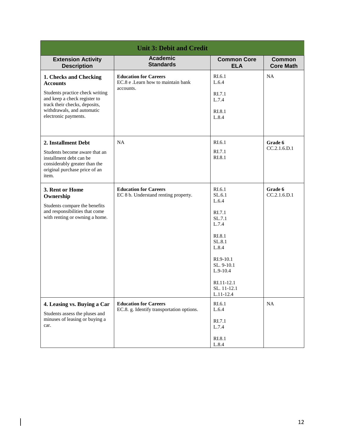| <b>Unit 3: Debit and Credit</b>                                                                                                                                                                     |                                                                                 |                                                                                                                                                                            |                                   |
|-----------------------------------------------------------------------------------------------------------------------------------------------------------------------------------------------------|---------------------------------------------------------------------------------|----------------------------------------------------------------------------------------------------------------------------------------------------------------------------|-----------------------------------|
| <b>Extension Activity</b><br><b>Description</b>                                                                                                                                                     | <b>Academic</b><br><b>Standards</b>                                             | <b>Common Core</b><br><b>ELA</b>                                                                                                                                           | <b>Common</b><br><b>Core Math</b> |
| 1. Checks and Checking<br><b>Accounts</b><br>Students practice check writing<br>and keep a check register to<br>track their checks, deposits,<br>withdrawals, and automatic<br>electronic payments. | <b>Education for Careers</b><br>EC.8 e .Learn how to maintain bank<br>accounts. | RI.6.1<br>L.6.4<br>RI.7.1<br>L.7.4<br>RI.8.1<br>L.8.4                                                                                                                      | NA                                |
| 2. Installment Debt<br>Students become aware that an<br>installment debt can be<br>considerably greater than the<br>original purchase price of an<br>item.                                          | NA                                                                              | RI.6.1<br>RI.7.1<br>RI.8.1                                                                                                                                                 | Grade 6<br>CC.2.1.6.D.1           |
| 3. Rent or Home<br>Ownership<br>Students compare the benefits<br>and responsibilities that come<br>with renting or owning a home.                                                                   | <b>Education for Careers</b><br>EC 8 b. Understand renting property.            | RI.6.1<br>SL.6.1<br>L.6.4<br>RI.7.1<br>SL.7.1<br>L.7.4<br>RI.8.1<br>SL.8.1<br>L.8.4<br>$RI.9-10.1$<br>SL. 9-10.1<br>$L.9-10.4$<br>RI.11-12.1<br>SL. 11-12.1<br>$L.11-12.4$ | Grade 6<br>CC.2.1.6.D.1           |
| 4. Leasing vs. Buying a Car<br>Students assess the pluses and<br>minuses of leasing or buying a<br>car.                                                                                             | <b>Education for Careers</b><br>EC.8. g. Identify transportation options.       | RI.6.1<br>L.6.4<br>RI.7.1<br>L.7.4<br>RI.8.1<br>L.8.4                                                                                                                      | <b>NA</b>                         |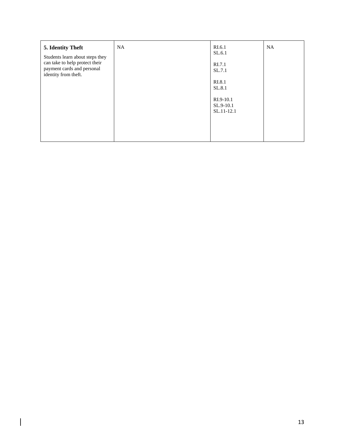| 5. Identity Theft<br>Students learn about steps they<br>can take to help protect their<br>payment cards and personal<br>identity from theft. | <b>NA</b> | RI.6.1<br>SL.6.1<br>RI.7.1<br>SL.7.1<br>RI.8.1<br>SL.8.1<br>$RI.9-10.1$<br>$SL.9-10.1$<br>SL.11-12.1 | <b>NA</b> |
|----------------------------------------------------------------------------------------------------------------------------------------------|-----------|------------------------------------------------------------------------------------------------------|-----------|
|                                                                                                                                              |           |                                                                                                      |           |
|                                                                                                                                              |           |                                                                                                      |           |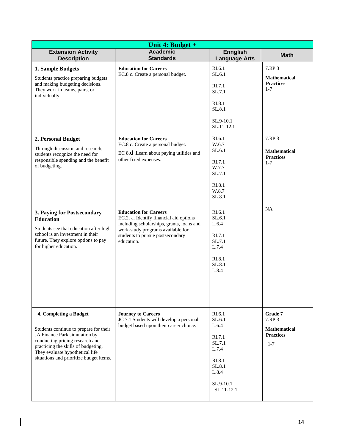| Unit 4: Budget +                                                                                                                                                                                                                                          |                                                                                                                                                                                                             |                                                                                                                |                                                                         |  |
|-----------------------------------------------------------------------------------------------------------------------------------------------------------------------------------------------------------------------------------------------------------|-------------------------------------------------------------------------------------------------------------------------------------------------------------------------------------------------------------|----------------------------------------------------------------------------------------------------------------|-------------------------------------------------------------------------|--|
| <b>Extension Activity</b><br><b>Description</b>                                                                                                                                                                                                           | <b>Academic</b><br><b>Standards</b>                                                                                                                                                                         | <b>Ennglish</b><br><b>Language Arts</b>                                                                        | <b>Math</b>                                                             |  |
| 1. Sample Budgets<br>Students practice preparing budgets<br>and making budgeting decisions.<br>They work in teams, pairs, or<br>individually.                                                                                                             | <b>Education for Careers</b><br>EC.8 c. Create a personal budget.                                                                                                                                           | RI.6.1<br>SL.6.1<br>RI.7.1<br>SL.7.1<br>RI.8.1<br>SL.8.1<br>SL.9-10.1<br>SL.11-12.1                            | 7.RP.3<br><b>Mathematical</b><br><b>Practices</b><br>$1 - 7$            |  |
| 2. Personal Budget<br>Through discussion and research,<br>students recognize the need for<br>responsible spending and the benefit<br>of budgeting.                                                                                                        | <b>Education for Careers</b><br>EC.8 c. Create a personal budget.<br>EC 8.d .Learn about paying utilities and<br>other fixed expenses.                                                                      | RI.6.1<br>W.6.7<br>SL.6.1<br>RI.7.1<br>W.7.7<br>SL.7.1<br>RI.8.1<br>W.8.7<br>SL.8.1                            | 7.RP.3<br><b>Mathematical</b><br><b>Practices</b><br>$1 - 7$            |  |
| 3. Paying for Postsecondary<br><b>Education</b><br>Students see that education after high<br>school is an investment in their<br>future. They explore options to pay<br>for higher education.                                                             | <b>Education for Careers</b><br>EC.2. a. Identify financial aid options<br>including scholarships, grants, loans and<br>work-study programs available for<br>students to pursue postsecondary<br>education. | RI.6.1<br>SL.6.1<br>L.6.4<br>RI.7.1<br>SL.7.1<br>L.7.4<br>RI.8.1<br>SL.8.1<br>L.8.4                            | NA                                                                      |  |
| 4. Completing a Budget<br>Students continue to prepare for their<br>JA Finance Park simulation by<br>conducting pricing research and<br>practicing the skills of budgeting.<br>They evaluate hypothetical life<br>situations and prioritize budget items. | <b>Journey to Careers</b><br>JC 7.1 Students will develop a personal<br>budget based upon their career choice.                                                                                              | RI.6.1<br>SL.6.1<br>L.6.4<br>RI.7.1<br>SL.7.1<br>L.7.4<br>RI.8.1<br>SL.8.1<br>L.8.4<br>SL.9-10.1<br>SL.11-12.1 | Grade 7<br>7.RP.3<br><b>Mathematical</b><br><b>Practices</b><br>$1 - 7$ |  |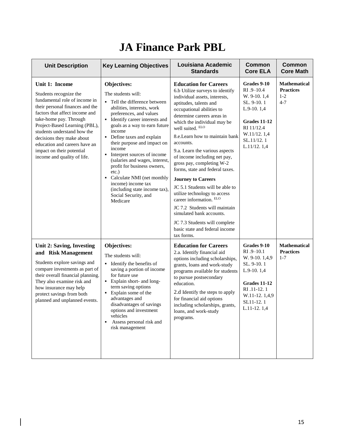## **JA Finance Park PBL**

| <b>Unit Description</b>                                                                                                                                                                                                                                                                                                                                            | <b>Key Learning Objectives</b>                                                                                                                                                                                                                                                                                                                                                                                                                                                                                            | Louisiana Academic<br><b>Standards</b>                                                                                                                                                                                                                                                                                                                                                                                                                                                                                                                                                                                                                                                              | <b>Common</b><br><b>Core ELA</b>                                                                                                                         | Common<br><b>Core Math</b>                                    |
|--------------------------------------------------------------------------------------------------------------------------------------------------------------------------------------------------------------------------------------------------------------------------------------------------------------------------------------------------------------------|---------------------------------------------------------------------------------------------------------------------------------------------------------------------------------------------------------------------------------------------------------------------------------------------------------------------------------------------------------------------------------------------------------------------------------------------------------------------------------------------------------------------------|-----------------------------------------------------------------------------------------------------------------------------------------------------------------------------------------------------------------------------------------------------------------------------------------------------------------------------------------------------------------------------------------------------------------------------------------------------------------------------------------------------------------------------------------------------------------------------------------------------------------------------------------------------------------------------------------------------|----------------------------------------------------------------------------------------------------------------------------------------------------------|---------------------------------------------------------------|
| Unit 1: Income<br>Students recognize the<br>fundamental role of income in<br>their personal finances and the<br>factors that affect income and<br>take-home pay. Through<br>Project-Based Learning (PBL),<br>students understand how the<br>decisions they make about<br>education and careers have an<br>impact on their potential<br>income and quality of life. | Objectives:<br>The students will:<br>Tell the difference between<br>abilities, interests, work<br>preferences, and values<br>Identify career interests and<br>goals as a way to earn future<br>income<br>Define taxes and explain<br>their purpose and impact on<br>income<br>Interpret sources of income<br>٠<br>(salaries and wages, interest,<br>profit for business owners,<br>$etc.$ )<br>Calculate NMI (net monthly<br>٠<br>income) income tax<br>(including state income tax),<br>Social Security, and<br>Medicare | <b>Education for Careers</b><br>6.b Utilize surveys to identify<br>individual assets, interests,<br>aptitudes, talents and<br>occupational abilities to<br>determine careers areas in<br>which the individual may be<br>well suited. ELO<br>8.e. Learn how to maintain bank<br>accounts.<br>9.a. Learn the various aspects<br>of income including net pay,<br>gross pay, completing W-2<br>forms, state and federal taxes.<br><b>Journey to Careers</b><br>JC 5.1 Students will be able to<br>utilize technology to access<br>career information. ELO<br>JC 7.2 Students will maintain<br>simulated bank accounts.<br>JC 7.3 Students will complete<br>basic state and federal income<br>tax forms. | Grades 9-10<br>RI .9-10.4<br>W. 9-10. 1.4<br>SL. 9-10.1<br>$L.9-10.1,4$<br><b>Grades 11-12</b><br>RI 11/12.4<br>W.11/12.1,4<br>SL.11/12.1<br>L.11/12.1,4 | <b>Mathematical</b><br><b>Practices</b><br>$1 - 2$<br>$4 - 7$ |
| Unit 2: Saving, Investing<br>and Risk Management<br>Students explore savings and<br>compare investments as part of<br>their overall financial planning.<br>They also examine risk and<br>how insurance may help<br>protect savings from both<br>planned and unplanned events.                                                                                      | Objectives:<br>The students will:<br>Identify the benefits of<br>$\blacksquare$<br>saving a portion of income<br>for future use<br>Explain short- and long-<br>term saving options<br>Explain some of the<br>advantages and<br>disadvantages of savings<br>options and investment<br>vehicles<br>Assess personal risk and<br>risk management                                                                                                                                                                              | <b>Education for Careers</b><br>2.a. Identify financial aid<br>options including scholarships,<br>grants, loans and work-study<br>programs available for students<br>to pursue postsecondary<br>education.<br>2.d Identify the steps to apply<br>for financial aid options<br>including scholarships, grants,<br>loans, and work-study<br>programs.                                                                                                                                                                                                                                                                                                                                                 | Grades 9-10<br>RI .9-10.1<br>W. 9-10. 1,4,9<br>SL. 9-10.1<br>$L.9-10.1,4$<br>Grades 11-12<br>RI .11-12.1<br>W.11-12.1,4,9<br>SL11-12.1<br>$L.11-12.1,4$  | <b>Mathematical</b><br><b>Practices</b><br>$1 - 7$            |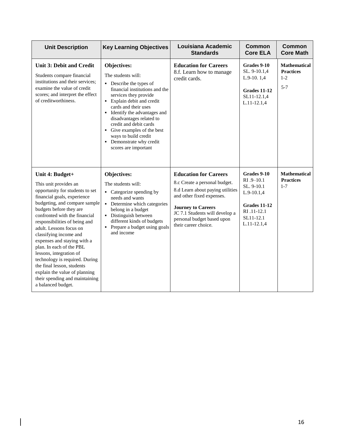| <b>Unit Description</b>                                                                                                                                                                                                                                                                                                                                                                                                                                                                                                                      | <b>Key Learning Objectives</b>                                                                                                                                                                                                                                                                                                                                                                | Louisiana Academic<br><b>Standards</b>                                                                                                                                                                                                              | <b>Common</b><br><b>Core ELA</b>                                                                                            | <b>Common</b><br><b>Core Math</b>                           |
|----------------------------------------------------------------------------------------------------------------------------------------------------------------------------------------------------------------------------------------------------------------------------------------------------------------------------------------------------------------------------------------------------------------------------------------------------------------------------------------------------------------------------------------------|-----------------------------------------------------------------------------------------------------------------------------------------------------------------------------------------------------------------------------------------------------------------------------------------------------------------------------------------------------------------------------------------------|-----------------------------------------------------------------------------------------------------------------------------------------------------------------------------------------------------------------------------------------------------|-----------------------------------------------------------------------------------------------------------------------------|-------------------------------------------------------------|
| <b>Unit 3: Debit and Credit</b><br>Students compare financial<br>institutions and their services;<br>examine the value of credit<br>scores; and interpret the effect<br>of creditworthiness.                                                                                                                                                                                                                                                                                                                                                 | Objectives:<br>The students will:<br>• Describe the types of<br>financial institutions and the<br>services they provide<br>• Explain debit and credit<br>cards and their uses<br>Identify the advantages and<br>$\blacksquare$<br>disadvantages related to<br>credit and debit cards<br>Give examples of the best<br>ways to build credit<br>• Demonstrate why credit<br>scores are important | <b>Education for Careers</b><br>8.f. Learn how to manage<br>credit cards.                                                                                                                                                                           | Grades 9-10<br>SL. 9-10.1,4<br>$L.9-10.1,4$<br><b>Grades 11-12</b><br>SL11-12.1,4<br>L.11-12.1,4                            | <b>Mathematical</b><br><b>Practices</b><br>$1-2$<br>$5 - 7$ |
| Unit 4: Budget+<br>This unit provides an<br>opportunity for students to set<br>financial goals, experience<br>budgeting, and compare sample<br>budgets before they are<br>confronted with the financial<br>responsibilities of being and<br>adult. Lessons focus on<br>classifying income and<br>expenses and staying with a<br>plan. In each of the PBL<br>lessons, integration of<br>technology is required. During<br>the final lesson, students<br>explain the value of planning<br>their spending and maintaining<br>a balanced budget. | Objectives:<br>The students will:<br>• Categorize spending by<br>needs and wants<br>Determine which categories<br>$\blacksquare$<br>belong in a budget<br>• Distinguish between<br>different kinds of budgets<br>Prepare a budget using goals<br>and income                                                                                                                                   | <b>Education for Careers</b><br>8.c Create a personal budget.<br>8.d Learn about paying utilities<br>and other fixed expenses.<br><b>Journey to Careers</b><br>JC 7.1 Students will develop a<br>personal budget based upon<br>their career choice. | Grades 9-10<br>RI .9-10.1<br>SL. 9-10.1<br>$L.9-10.1,4$<br><b>Grades 11-12</b><br>RI .11-12.1<br>SL11-12.1<br>$L.11-12.1,4$ | <b>Mathematical</b><br><b>Practices</b><br>$1 - 7$          |